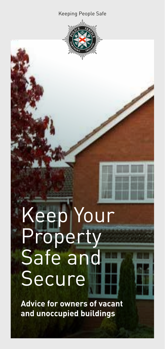#### Keeping People Safe



# Keep Your Property Safe and Secure

**Advice for owners of vacant and unoccupied buildings**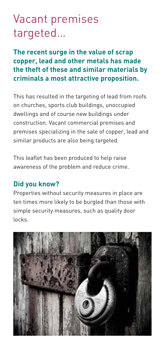#### Vacant premises targeted…

**The recent surge in the value of scrap copper, lead and other metals has made the theft of these and similar materials by criminals a most attractive proposition.**

This has resulted in the targeting of lead from roofs on churches, sports club buildings, unoccupied dwellings and of course new buildings under construction. Vacant commercial premises and premises specializing in the sale of copper, lead and similar products are also being targeted.

This leaflet has been produced to help raise awareness of the problem and reduce crime.

#### **Did you know?**

Properties without security measures in place are ten times more likely to be burgled than those with simple security measures, such as quality door locks.

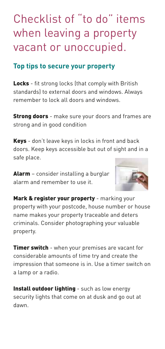### Checklist of "to do" items when leaving a property vacant or unoccupied.

#### **Top tips to secure your property**

Locks - fit strong locks (that comply with British standards) to external doors and windows. Always remember to lock all doors and windows.

**Strong doors** - make sure your doors and frames are strong and in good condition

Keys - don't leave keys in locks in front and back doors. Keep keys accessible but out of sight and in a safe place.

Alarm - consider installing a burglar alarm and remember to use it.



Mark & register your property - marking your property with your postcode, house number or house name makes your property traceable and deters criminals. Consider photographing your valuable property.

**Timer switch** - when your premises are vacant for considerable amounts of time try and create the impression that someone is in. Use a timer switch on a lamp or a radio.

Install outdoor lighting - such as low energy security lights that come on at dusk and go out at dawn.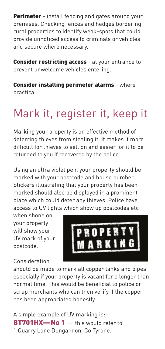Perimeter - install fencing and gates around your premises. Checking fences and hedges bordering rural properties to identify weak-spots that could provide unnoticed access to criminals or vehicles and secure where necessary.

Consider restricting access - at your entrance to prevent unwelcome vehicles entering.

Consider installing perimeter alarms - where practical.

## Mark it, register it, keep it

Marking your property is an effective method of deterring thieves from stealing it. It makes it more difficult for thieves to sell on and easier for it to be returned to you if recovered by the police.

Using an ultra violet pen, your property should be marked with your postcode and house number. Stickers illustrating that your property has been marked should also be displayed in a prominent place which could deter any thieves. Police have access to UV lights which show up postcodes etc

when shone on your property will show your UV mark of your postcode.



Consideration

should be made to mark all copper tanks and pipes especially if your property is vacant for a longer than normal time. This would be beneficial to police or scrap merchants who can then verify if the copper has been appropriated honestly.

A simple example of UV marking is:- **BT701HX-No 1**  $-$  this would refer to 1 Quarry Lane Dungannon, Co Tyrone.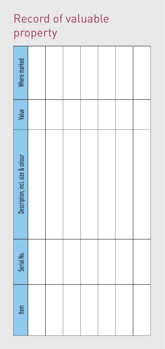## Record of valuable property

| Item | Serial No. | Description, incl. size & colour | Value | Where marked |
|------|------------|----------------------------------|-------|--------------|
|      |            |                                  |       |              |
|      |            |                                  |       |              |
|      |            |                                  |       |              |
|      |            |                                  |       |              |
|      |            |                                  |       |              |
|      |            |                                  |       |              |
|      |            |                                  |       |              |